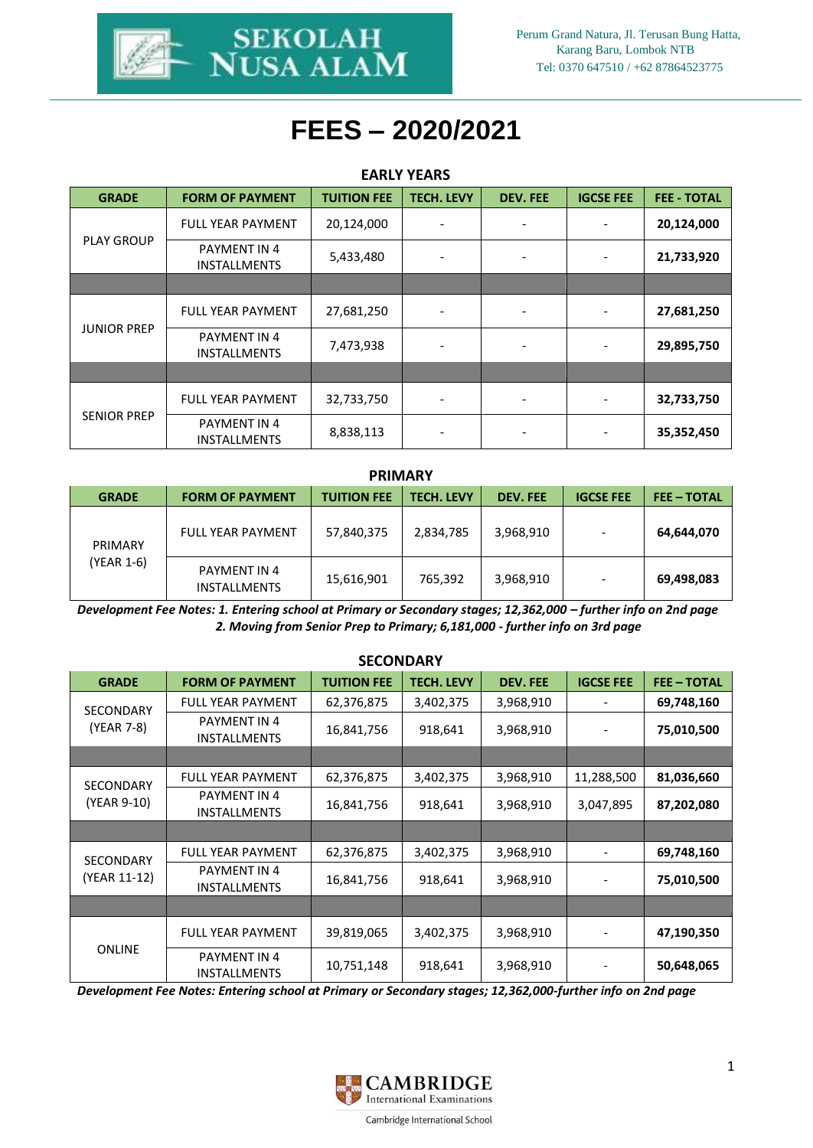

# **FEES – 2020/2021**

| <b>EARLY YEARS</b> |                                     |                    |                   |                 |                          |                    |  |  |
|--------------------|-------------------------------------|--------------------|-------------------|-----------------|--------------------------|--------------------|--|--|
| <b>GRADE</b>       | <b>FORM OF PAYMENT</b>              | <b>TUITION FEE</b> | <b>TECH. LEVY</b> | <b>DEV. FEE</b> | <b>IGCSE FEE</b>         | <b>FEE - TOTAL</b> |  |  |
| <b>PLAY GROUP</b>  | <b>FULL YEAR PAYMENT</b>            | 20,124,000         |                   |                 | $\overline{a}$           | 20,124,000         |  |  |
|                    | PAYMENT IN 4<br><b>INSTALLMENTS</b> | 5,433,480          |                   |                 | $\overline{\phantom{a}}$ | 21,733,920         |  |  |
|                    |                                     |                    |                   |                 |                          |                    |  |  |
| <b>JUNIOR PREP</b> | <b>FULL YEAR PAYMENT</b>            | 27,681,250         | -                 |                 | $\overline{a}$           | 27,681,250         |  |  |
|                    | PAYMENT IN 4<br><b>INSTALLMENTS</b> | 7,473,938          |                   |                 | $\overline{\phantom{a}}$ | 29,895,750         |  |  |
|                    |                                     |                    |                   |                 |                          |                    |  |  |
| <b>SENIOR PREP</b> | <b>FULL YEAR PAYMENT</b>            | 32,733,750         |                   |                 | $\overline{\phantom{0}}$ | 32,733,750         |  |  |
|                    | PAYMENT IN 4<br><b>INSTALLMENTS</b> | 8,838,113          |                   |                 | $\overline{a}$           | 35,352,450         |  |  |

#### **PRIMARY**

| <b>GRADE</b>          | <b>FORM OF PAYMENT</b>              | <b>TUITION FEE</b> | <b>TECH. LEVY</b> | <b>DEV. FEE</b> | <b>IGCSE FEE</b> | <b>FEE-TOTAL</b> |
|-----------------------|-------------------------------------|--------------------|-------------------|-----------------|------------------|------------------|
| PRIMARY<br>(YEAR 1-6) | <b>FULL YEAR PAYMENT</b>            | 57,840,375         | 2,834,785         | 3,968,910       |                  | 64,644,070       |
|                       | PAYMENT IN 4<br><b>INSTALLMENTS</b> | 15,616,901         | 765,392           | 3,968,910       |                  | 69,498,083       |

*Development Fee Notes: 1. Entering school at Primary or Secondary stages; 12,362,000 - further info on 2nd page 2. Moving from Senior Prep to Primary; 6,181,000 - further info on 3rd page*

| JELUNUANI                        |                                     |                    |                   |                 |                          |                  |  |  |
|----------------------------------|-------------------------------------|--------------------|-------------------|-----------------|--------------------------|------------------|--|--|
| <b>GRADE</b>                     | <b>FORM OF PAYMENT</b>              | <b>TUITION FEE</b> | <b>TECH. LEVY</b> | <b>DEV. FEE</b> | <b>IGCSE FEE</b>         | <b>FEE-TOTAL</b> |  |  |
| <b>SECONDARY</b><br>(YEAR 7-8)   | <b>FULL YEAR PAYMENT</b>            | 62,376,875         | 3,402,375         | 3,968,910       |                          | 69,748,160       |  |  |
|                                  | PAYMENT IN 4<br><b>INSTALLMENTS</b> | 16,841,756         | 918,641           | 3,968,910       |                          | 75,010,500       |  |  |
|                                  |                                     |                    |                   |                 |                          |                  |  |  |
| <b>SECONDARY</b><br>(YEAR 9-10)  | <b>FULL YEAR PAYMENT</b>            | 62,376,875         | 3,402,375         | 3,968,910       | 11,288,500               | 81,036,660       |  |  |
|                                  | PAYMENT IN 4<br><b>INSTALLMENTS</b> | 16,841,756         | 918,641           | 3,968,910       | 3,047,895                | 87,202,080       |  |  |
|                                  |                                     |                    |                   |                 |                          |                  |  |  |
| <b>SECONDARY</b><br>(YEAR 11-12) | <b>FULL YEAR PAYMENT</b>            | 62,376,875         | 3,402,375         | 3,968,910       | $\overline{\phantom{a}}$ | 69,748,160       |  |  |
|                                  | PAYMENT IN 4<br><b>INSTALLMENTS</b> | 16,841,756         | 918,641           | 3,968,910       | $\overline{\phantom{a}}$ | 75,010,500       |  |  |
|                                  |                                     |                    |                   |                 |                          |                  |  |  |
| <b>ONLINE</b>                    | <b>FULL YEAR PAYMENT</b>            | 39,819,065         | 3,402,375         | 3,968,910       | $\overline{\phantom{a}}$ | 47,190,350       |  |  |
|                                  | PAYMENT IN 4<br><b>INSTALLMENTS</b> | 10,751,148         | 918,641           | 3,968,910       | $\overline{\phantom{a}}$ | 50,648,065       |  |  |

#### **SECONDARY**

*Development Fee Notes: Entering school at Primary or Secondary stages; 12,362,000-further info on 2nd page*

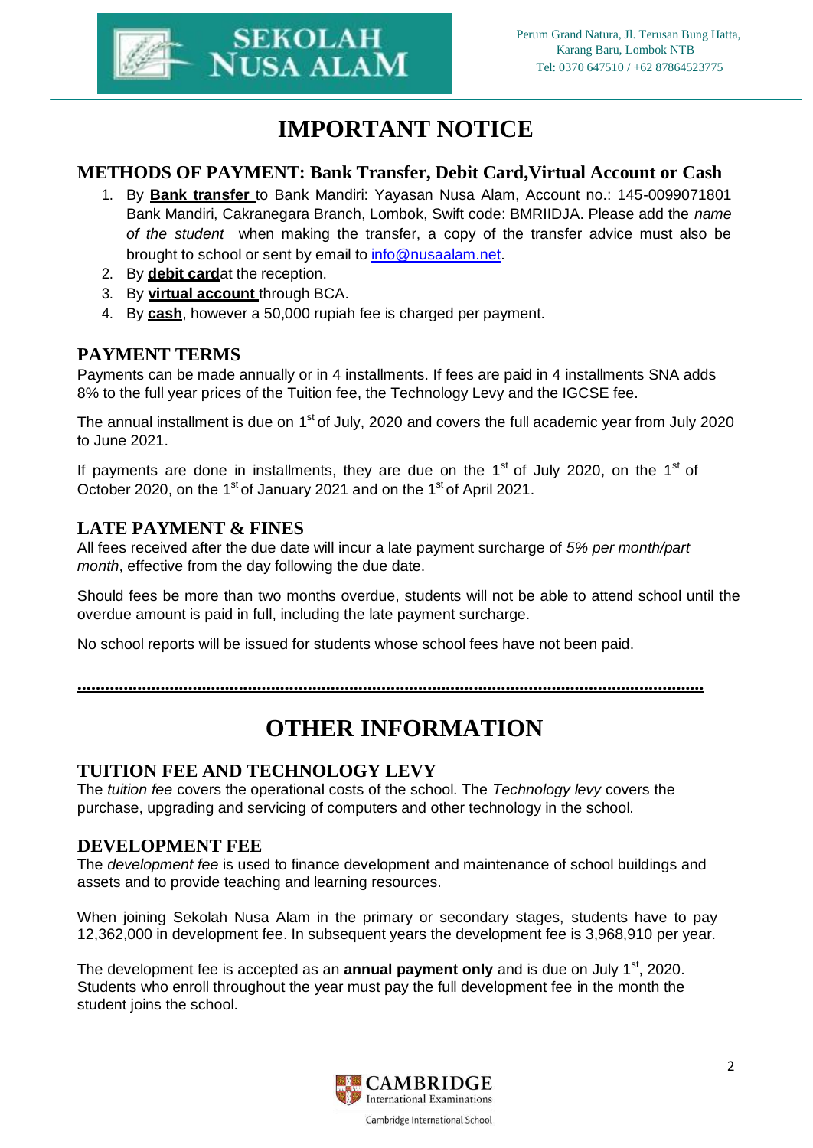

## **IMPORTANT NOTICE**

#### **METHODS OF PAYMENT: Bank Transfer, Debit Card,Virtual Account or Cash**

- 1. By **Bank transfer** to Bank Mandiri: Yayasan Nusa Alam, Account no.: 145-0099071801 Bank Mandiri, Cakranegara Branch, Lombok, Swift code: BMRIIDJA. Please add the *name of the student* when making the transfer, a copy of the transfer advice must also be brought to school or sent by email to [info@nusaalam.net.](mailto:info@nusaalam.net)
- 2. By **debit card**at the reception.
- 3. By **virtual account** through BCA.
- 4. By **cash**, however a 50,000 rupiah fee is charged per payment.

### **PAYMENT TERMS**

Payments can be made annually or in 4 installments. If fees are paid in 4 installments SNA adds 8% to the full year prices of the Tuition fee, the Technology Levy and the IGCSE fee.

The annual installment is due on  $1<sup>st</sup>$  of July, 2020 and covers the full academic year from July 2020 to June 2021.

If payments are done in installments, they are due on the  $1<sup>st</sup>$  of July 2020, on the  $1<sup>st</sup>$  of October 2020, on the 1<sup>st</sup> of January 2021 and on the 1<sup>st</sup> of April 2021.

#### **LATE PAYMENT & FINES**

All fees received after the due date will incur a late payment surcharge of *5% per month/part month*, effective from the day following the due date.

Should fees be more than two months overdue, students will not be able to attend school until the overdue amount is paid in full, including the late payment surcharge.

No school reports will be issued for students whose school fees have not been paid.

**........................................................................................................................................**

## **OTHER INFORMATION**

### **TUITION FEE AND TECHNOLOGY LEVY**

The *tuition fee* covers the operational costs of the school. The *Technology levy* covers the purchase, upgrading and servicing of computers and other technology in the school.

#### **DEVELOPMENT FEE**

The *development fee* is used to finance development and maintenance of school buildings and assets and to provide teaching and learning resources.

When joining Sekolah Nusa Alam in the primary or secondary stages, students have to pay 12,362,000 in development fee. In subsequent years the development fee is 3,968,910 per year.

The development fee is accepted as an **annual payment only** and is due on July 1<sup>st</sup>, 2020. Students who enroll throughout the year must pay the full development fee in the month the student joins the school.